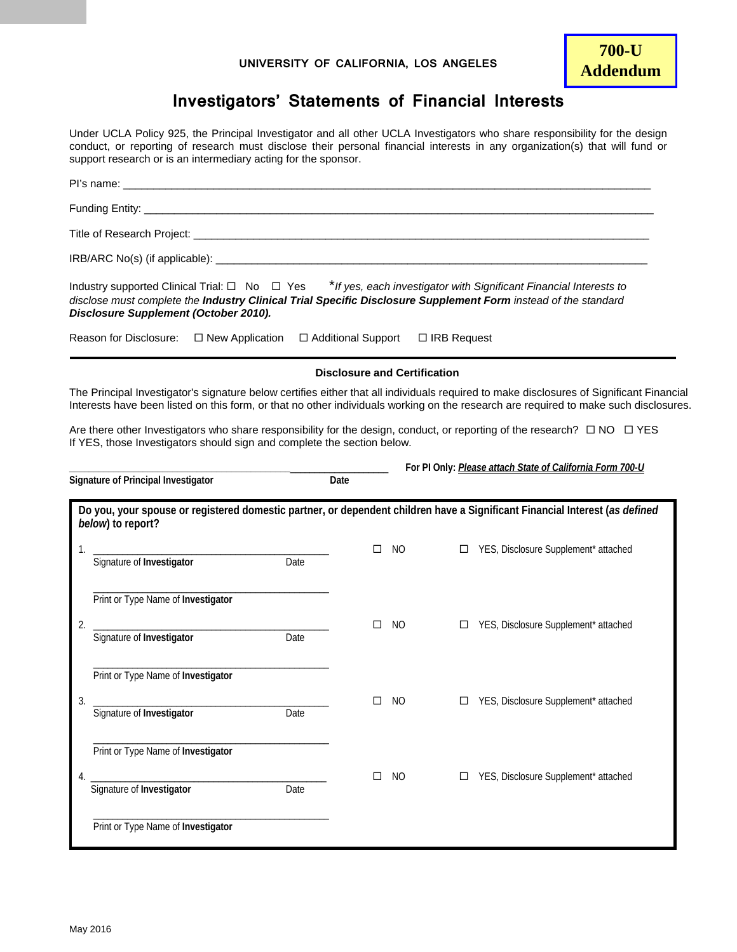## **UNIVERSITY OF CALIFORNIA, LOS ANGELES**

## **Investigators' Statements of Financial Interests**

Under UCLA Policy 925, the Principal Investigator and all other UCLA Investigators who share responsibility for the design conduct, or reporting of research must disclose their personal financial interests in any organization(s) that will fund or support research or is an intermediary acting for the sponsor.

| PI's name: <b>Example 2018</b> PI's name: <b>Example 2018</b>                                                                                                                                                                                                                    |                                     |           |                    |                                                           |  |  |  |  |  |  |  |  |
|----------------------------------------------------------------------------------------------------------------------------------------------------------------------------------------------------------------------------------------------------------------------------------|-------------------------------------|-----------|--------------------|-----------------------------------------------------------|--|--|--|--|--|--|--|--|
|                                                                                                                                                                                                                                                                                  |                                     |           |                    |                                                           |  |  |  |  |  |  |  |  |
|                                                                                                                                                                                                                                                                                  |                                     |           |                    |                                                           |  |  |  |  |  |  |  |  |
|                                                                                                                                                                                                                                                                                  |                                     |           |                    |                                                           |  |  |  |  |  |  |  |  |
| Reason for Disclosure: $\Box$ New Application                                                                                                                                                                                                                                    | □ Additional Support                |           | $\Box$ IRB Request |                                                           |  |  |  |  |  |  |  |  |
|                                                                                                                                                                                                                                                                                  | <b>Disclosure and Certification</b> |           |                    |                                                           |  |  |  |  |  |  |  |  |
| The Principal Investigator's signature below certifies either that all individuals required to make disclosures of Significant Financial<br>Interests have been listed on this form, or that no other individuals working on the research are required to make such disclosures. |                                     |           |                    |                                                           |  |  |  |  |  |  |  |  |
| Are there other Investigators who share responsibility for the design, conduct, or reporting of the research? $\Box$ NO $\Box$ YES<br>If YES, those Investigators should sign and complete the section below.                                                                    |                                     |           |                    |                                                           |  |  |  |  |  |  |  |  |
|                                                                                                                                                                                                                                                                                  |                                     |           |                    | For PI Only: Please attach State of California Form 700-U |  |  |  |  |  |  |  |  |
| Signature of Principal Investigator                                                                                                                                                                                                                                              | Date                                |           |                    |                                                           |  |  |  |  |  |  |  |  |
| Do you, your spouse or registered domestic partner, or dependent children have a Significant Financial Interest (as defined<br>below) to report?                                                                                                                                 |                                     |           |                    |                                                           |  |  |  |  |  |  |  |  |
| 1.                                                                                                                                                                                                                                                                               | П                                   | <b>NO</b> | $\Box$             | YES, Disclosure Supplement* attached                      |  |  |  |  |  |  |  |  |
| Signature of Investigator<br>Date                                                                                                                                                                                                                                                |                                     |           |                    |                                                           |  |  |  |  |  |  |  |  |
| Print or Type Name of Investigator                                                                                                                                                                                                                                               |                                     |           |                    |                                                           |  |  |  |  |  |  |  |  |
| 2.<br>Signature of Investigator<br>Date                                                                                                                                                                                                                                          | П                                   | <b>NO</b> | □                  | YES, Disclosure Supplement* attached                      |  |  |  |  |  |  |  |  |

|    | Print or Type Name of Investigator |      |    |   |                                      |
|----|------------------------------------|------|----|---|--------------------------------------|
| 3. | Signature of Investigator          | Date | NO | □ | YES, Disclosure Supplement* attached |
|    | Print or Type Name of Investigator |      |    |   |                                      |
| 4. | Signature of Investigator          | Date | NO | □ | YES, Disclosure Supplement* attached |
|    | Print or Type Name of Investigator |      |    |   |                                      |